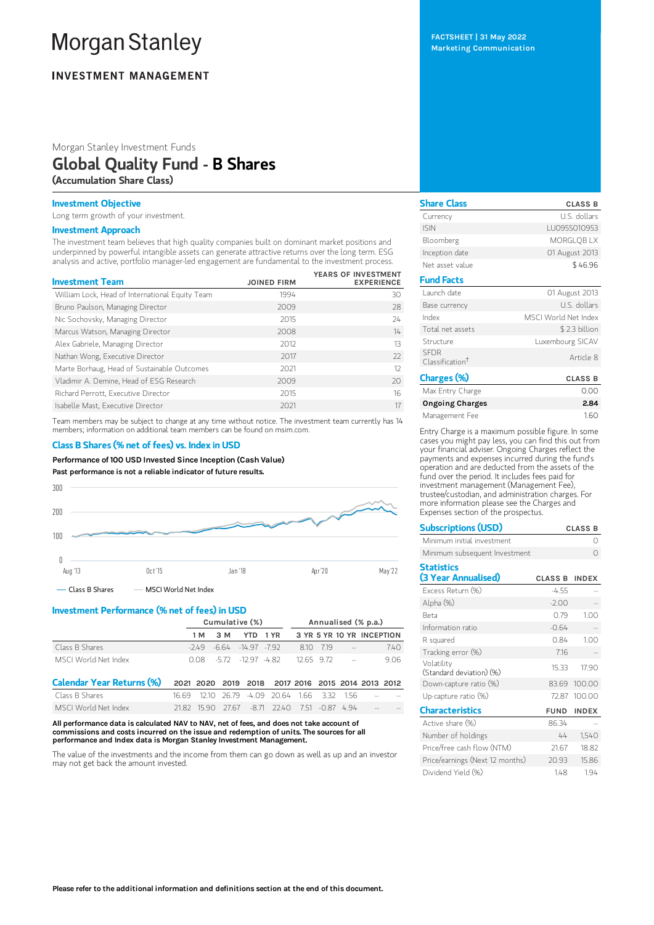# **Morgan Stanley**

## **INVESTMENT MANAGEMENT**

Morgan Stanley Investment Funds

## Global Quality Fund - B Shares

(Accumulation Share Class)

### Investment Objective

Long term growth of your investment.

#### Investment Approach

The investment team believes that high quality companies built on dominant market positions and underpinned by powerful intangible assets can generate attractive returns over the long term. ESG analysis and active, portfolio manager-led engagement are fundamental to the investment process.

| <b>Investment Team</b>                          | <b>JOINED FIRM</b> | YEARS OF INVESTMENT<br><b>EXPERIENCE</b> |
|-------------------------------------------------|--------------------|------------------------------------------|
| William Lock, Head of International Equity Team | 1994               | 30                                       |
| Bruno Paulson, Managing Director                | 2009               | 28                                       |
| Nic Sochovsky, Managing Director                | 2015               | 24                                       |
| Marcus Watson, Managing Director                | 2008               | 14                                       |
| Alex Gabriele, Managing Director                | 2012               | 13                                       |
| Nathan Wong, Executive Director                 | 2017               | $22$                                     |
| Marte Borhaug, Head of Sustainable Outcomes     | 2021               | 12                                       |
| Vladimir A. Demine, Head of ESG Research        | 2009               | 20                                       |
| Richard Perrott, Executive Director             | 2015               | 16                                       |
| Isabelle Mast, Executive Director               | 2021               | 17                                       |

Team members may be subject to change at any time without notice. The investment team currently has 14 members; information on additional team members can be found on msim.com.

#### Class B Shares (% net of fees) vs. Index in USD

Performance of 100 USD Invested Since Inception (Cash Value)

Past performance is not a reliable indicator of future results.



- Class B Shares - MSCI World Net Index

#### Investment Performance (% net of fees) in USD

|                      | Cumulative (%) |     |                      | Annualised (% p.a.) |                                                |         |                          |                           |
|----------------------|----------------|-----|----------------------|---------------------|------------------------------------------------|---------|--------------------------|---------------------------|
|                      | 1 M            | 3 M | YTD 1 YR             |                     |                                                |         |                          | 3 YR 5 YR 10 YR INCEPTION |
| Class B Shares       |                |     | -249 -664 -1497 -792 |                     |                                                | 810 719 | <b>Contract</b>          | 740                       |
| MSCI World Net Index |                |     |                      |                     | $0.08$ $-5.72$ $-12.97$ $-4.82$ $12.65$ $9.72$ |         | <b>Contract Contract</b> | 906                       |

| Calendar Year Returns (%) 2021 2020 2019 2018 2017 2016 2015 2014 2013 2012 |                                                   |  |  |  |  |
|-----------------------------------------------------------------------------|---------------------------------------------------|--|--|--|--|
| Class B Shares                                                              | 16.69 12.10 26.79 4.09 20.64 1.66 3.32 1.56 - - - |  |  |  |  |
| MSCI World Net Index                                                        | 21.82 15.90 27.67 -8.71 22.40 7.51 -0.87 4.94     |  |  |  |  |

All performance data is calculated NAV to NAV, net of fees, and does not take account of commissions and costs incurred on the issue and redemption of units. The sources for all performance and Index data is Morgan Stanley Investment Management.

The value of the investments and the income from them can go down as well as up and an investor may not get back the amount invested.

FACTSHEET | 31 May 2022 Marketing Communication

| <b>Share Class</b>                         | <b>CLASS B</b>       |
|--------------------------------------------|----------------------|
| Currency                                   | U.S. dollars         |
| <b>ISIN</b>                                | LU0955010953         |
| Bloomberg                                  | MORGLQB LX           |
| Inception date                             | 01 August 2013       |
| Net asset value                            | \$46.96              |
| <b>Fund Facts</b>                          |                      |
| Launch date                                | 01 August 2013       |
| Base currency                              | U.S. dollars         |
| Index                                      | MSCI World Net Index |
| Total net assets                           | \$2.3 billion        |
| Structure                                  | Luxembourg SICAV     |
| <b>SFDR</b><br>Classification <sup>†</sup> | Article 8            |
| Charges (%)                                | <b>CLASS B</b>       |
| Max Entry Charge                           | 0.00                 |
| <b>Ongoing Charges</b>                     | 2.84                 |

Management Fee 1.60

Entry Charge is a maximum possible figure. In some cases you might pay less, you can find this out from your financial adviser. Ongoing Charges reflect the payments and expenses incurred during the fund's operation and are deducted from the assets of the fund over the period. It includes fees paid for investment management (Management Fee), trustee/custodian, and administration charges. For more information please see the Charges and Expenses section of the prospectus.

| <b>Subscriptions (USD)</b>             |                | <b>CLASS B</b> |
|----------------------------------------|----------------|----------------|
| Minimum initial investment             |                | Ω              |
| Minimum subsequent Investment          |                | ∩              |
| <b>Statistics</b>                      |                |                |
| (3 Year Annualised)                    | <b>CLASS B</b> | <b>INDEX</b>   |
| Excess Return (%)                      | $-4.55$        |                |
| Alpha (%)                              | $-2.00$        |                |
| Reta                                   | 0.79           | 1.00           |
| Information ratio                      | $-0.64$        |                |
| R squared                              | 0.84           | 100            |
| Tracking error (%)                     | 7.16           |                |
| Volatility<br>(Standard deviation) (%) | 15.33          | 17.90          |
| Down-capture ratio (%)                 | 83.69          | 100.00         |
| Up-capture ratio (%)                   | 72.87          | 100.00         |
| <b>Characteristics</b>                 | <b>FUND</b>    | <b>INDEX</b>   |
| Active share (%)                       | 86.34          |                |
| Number of holdings                     | 44             | 1,540          |
| Price/free cash flow (NTM)             | 21.67          | 18.82          |
| Price/earnings (Next 12 months)        | 20.93          | 15.86          |
| Dividend Yield (%)                     | 1.48           | 1.94           |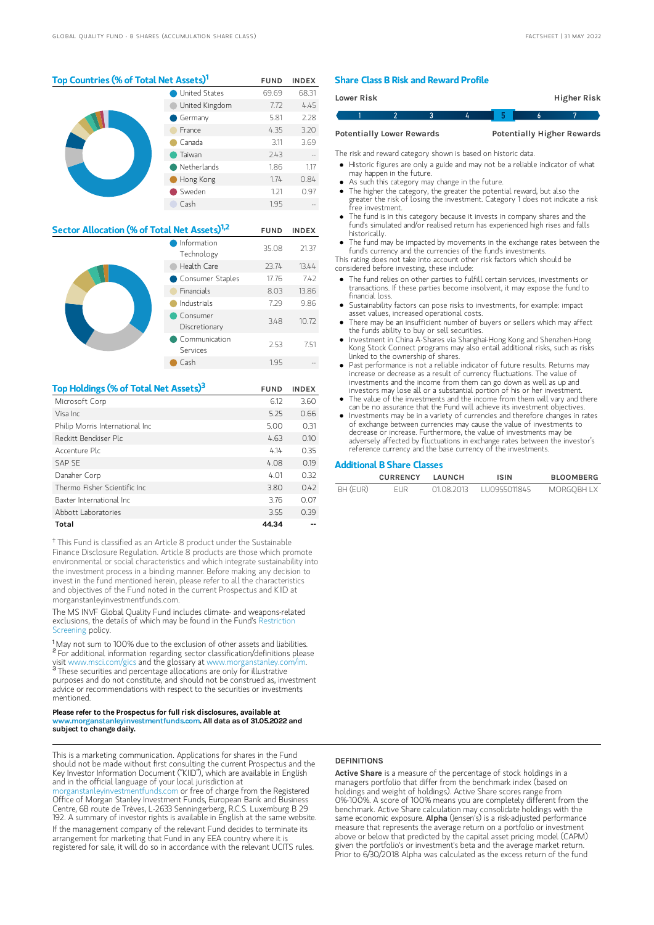## Top Countries (% of Total Net Assets)<sup>1</sup> FUND INDEX

|  | United States  | 69.69 | 68.31 |
|--|----------------|-------|-------|
|  | United Kingdom | 7.72  | 4.45  |
|  | Germany        | 5.81  | 2.28  |
|  | France         | 4.35  | 3.20  |
|  | Canada         | 3.11  | 3.69  |
|  | Taiwan         | 2.43  |       |
|  | Netherlands    | 1.86  | 1.17  |
|  | Hong Kong      | 1.74  | 0.84  |
|  | Sweden         | 1.21  | 0.97  |
|  | Cash           | 1.95  |       |

| Sector Allocation (% of Total Net Assets) <sup>1,2</sup> |                           |       | <b>INDEX</b> |
|----------------------------------------------------------|---------------------------|-------|--------------|
| Information<br>Technology                                |                           |       | 21.37        |
| Health Care                                              |                           | 23.74 | 13.44        |
|                                                          | Consumer Staples          | 17.76 | 7.42         |
|                                                          | Financials                | 8.03  | 13.86        |
| Industrials                                              |                           | 7.29  | 9.86         |
|                                                          | Consumer<br>Discretionary | 3.48  | 10.72        |
|                                                          | Communication<br>Services | 2.53  | 7.51         |
|                                                          | Cash                      | 1.95  |              |

## Top Holdings (% of Total Net Assets)<sup>3</sup> FUND INDEX Microsoft Corp 6.12 3.60

| Visa Inc.                       | 5.25  | 0.66 |
|---------------------------------|-------|------|
| Philip Morris International Inc | 5.00  | 0.31 |
| Reckitt Benckiser Plc           | 4.63  | 0.10 |
| Accenture Plc                   | 4.14  | 0.35 |
| SAP SE                          | 4.08  | 0.19 |
| Danaher Corp                    | 4.01  | 0.32 |
| Thermo Fisher Scientific Inc.   | 3.80  | 0.42 |
| Baxter International Inc        | 3.76  | 0.07 |
| Abbott Laboratories             | 3.55  | 0.39 |
| Total                           | 44.34 |      |

<sup>†</sup> This Fund is classified as an Article 8 product under the Sustainable Finance Disclosure Regulation. Article 8 products are those which promote environmental or social characteristics and which integrate sustainability into the investment process in a binding manner. Before making any decision to invest in the fund mentioned herein, please refer to all the characteristics and objectives of the Fund noted in the current Prospectus and KIID at morganstanleyinvestmentfunds.com.

The MS INVF Global Quality Fund includes climate- and weapons-related [exclusions,](https://www.morganstanley.com/im/publication/msinvf/material/rsp_msinvf_gb_gbei_gq_en.pdf?1654720968714) the details of which may be found in the Fund's Restriction Screening policy.

<sup>1</sup>May not sum to 100% due to the exclusion of other assets and liabilities. <sup>2</sup> For additional information regarding sector classification/definitions please visit www.msci.com/gics and the glossary at www.morganstanley.com/im. <sup>3</sup> These securities and percentage allocations are only for illustrative purposes and do not constitute, and should not be construed as, investment advice or recommendations with respect to the securities or investments mentioned.

#### Please refer to the Prospectus for full risk disclosures, available at w.morganstanleyinvestmentfunds.co<mark>m. All data as of 31.05.2022 and</mark> subject to change daily.

This is a marketing communication. Applications for shares in the Fund should not be made without first consulting the current Prospectus and the Key Investor Information Document ("KIID"), which are available in English and in the official language of your local jurisdiction at

[morganstanleyinvestmentfunds.com](https://www.morganstanley.com/im/msinvf/index.html) or free of charge from the Registered Office of Morgan Stanley Investment Funds, European Bank and Business Centre, 6B route de Trèves, L-2633 Senningerberg, R.C.S. Luxemburg B 29 192. A summary of investor rights is available in English at the same website.

If the management company of the relevant Fund decides to terminate its arrangement for marketing that Fund in any EEA country where it is registered for sale, it will do so in accordance with the relevant UCITS rules.

#### Share Class B Risk and Reward Profile

| Lower Risk |                                  |  |                                   | Higher Risk |  |
|------------|----------------------------------|--|-----------------------------------|-------------|--|
|            |                                  |  |                                   |             |  |
|            | <b>Potentially Lower Rewards</b> |  | <b>Potentially Higher Rewards</b> |             |  |

The risk and reward category shown is based on historic data.

- Historic figures are only a guide and may not be a reliable indicator of what may happen in the future.
- As such this category may change in the future.
- The higher the category, the greater the potential reward, but also the greater the risk of losing the investment. Category 1 does not indicate a risk free investment.
- The fund is in this category because it invests in company shares and the fund's simulated and/or realised return has experienced high rises and falls historically.
- The fund may be impacted by movements in the exchange rates between the fund's currency and the currencies of the fund's investments.

This rating does not take into account other risk factors which should be considered before investing, these include:

- The fund relies on other parties to fulfill certain services, investments or transactions. If these parties become insolvent, it may expose the fund to financial loss.
- Sustainability factors can pose risks to investments, for example: impact asset values, increased operational costs.
- There may be an insufficient number of buyers or sellers which may affect the funds ability to buy or sell securities.
- Investment in China A-Shares via Shanghai-Hong Kong and Shenzhen-Hong Kong Stock Connect programs may also entail additional risks, such as risks linked to the ownership of shares.
- Past performance is not a reliable indicator of future results. Returns may increase or decrease as a result of currency fluctuations. The value of investments and the income from them can go down as well as up and investors may lose all or a substantial portion of his or her investment.
- The value of the investments and the income from them will vary and there can be no assurance that the Fund will achieve its investment objectives.
- Investments may be in a variety of currencies and therefore changes in rates of exchange between currencies may cause the value of investments to decrease or increase. Furthermore, the value of investments may be adversely affected by fluctuations in exchange rates between the investor's reference currency and the base currency of the investments.

#### Additional B Share Classes

|          | <b>CURRENCY</b> | LAUNCH     | <b>ISIN</b>  | <b>BLOOMBERG</b> |
|----------|-----------------|------------|--------------|------------------|
| BH (EUR) | FUR.            | 01 08 2013 | LU0955011845 | MORGOBH LX       |

#### **DEFINITIONS**

Active Share is a measure of the percentage of stock holdings in a managers portfolio that differ from the benchmark index (based on holdings and weight of holdings). Active Share scores range from 0%-100%. A score of 100% means you are completely different from the benchmark. Active Share calculation may consolidate holdings with the<br>same economic exposure. **AIpha** (Jensen's) is a risk-adjusted performance measure that represents the average return on a portfolio or investment above or below that predicted by the capital asset pricing model (CAPM) given the portfolio's or investment's beta and the average market return. Prior to 6/30/2018 Alpha was calculated as the excess return of the fund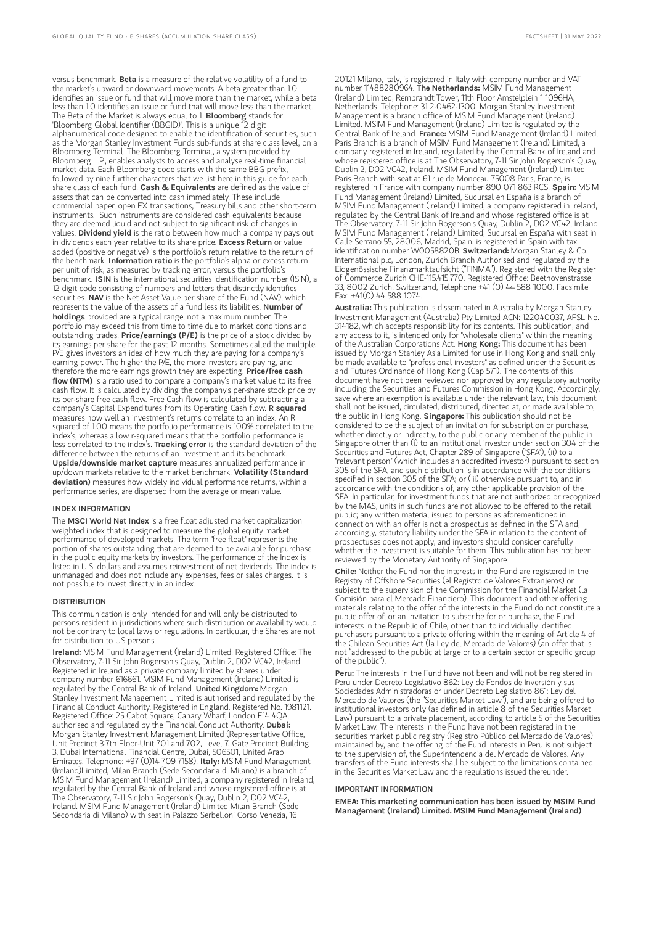versus benchmark. Beta is a measure of the relative volatility of a fund to the market's upward or downward movements. A beta greater than 1.0 identifies an issue or fund that will move more than the market, while a beta less than 1.0 identifies an issue or fund that will move less than the market. The Beta of the Market is always equal to 1. **Bloomberg** stands for 'Bloomberg Global Identifier (BBGID)'. This is a unique 12 digit alphanumerical code designed to enable the identification of securities, such as the Morgan Stanley Investment Funds sub-funds at share class level, on a Bloomberg Terminal. The Bloomberg Terminal, a system provided by Bloomberg L.P., enables analysts to access and analyse real-time financial market data. Each Bloomberg code starts with the same BBG prefix, followed by nine further characters that we list here in this guide for each share class of each fund. Cash & Equivalents are defined as the value of assets that can be converted into cash immediately. These include commercial paper, open FX transactions, Treasury bills and other short-term instruments. Such instruments are considered cash equivalents because they are deemed liquid and not subject to significant risk of changes in values. Dividend yield is the ratio between how much a company pays out in dividends each year relative to its share price. Excess Return or value added (positive or negative) is the portfolio's return relative to the return of the benchmark. Information ratio is the portfolio's alpha or excess return per unit of risk, as measured by tracking error, versus the portfolio's benchmark. ISIN is the international securities identification number (ISIN), a 12 digit code consisting of numbers and letters that distinctly identifies securities. NAV is the Net Asset Value per share of the Fund (NAV), which represents the value of the assets of a fund less its liabilities. Number of holdings provided are a typical range, not a maximum number. The portfolio may exceed this from time to time due to market conditions and outstanding trades. Price/earnings (P/E) is the price of a stock divided by its earnings per share for the past 12 months. Sometimes called the multiple, P/E gives investors an idea of how much they are paying for a company's earning power. The higher the P/E, the more investors are paying, and therefore the more earnings growth they are expecting. Price/free cash flow (NTM) is a ratio used to compare a company's market value to its free cash flow. It is calculated by dividing the company's per-share stock price by its per-share free cash flow. Free Cash flow is calculated by subtracting a company's Capital Expenditures from its Operating Cash flow. R squared measures how well an investment's returns correlate to an index. An R squared of 1.00 means the portfolio performance is 100% correlated to the index's, whereas a low r-squared means that the portfolio performance is less correlated to the index's. Tracking error is the standard deviation of the difference between the returns of an investment and its benchmark. Upside/downside market capture measures annualized performance in up/down markets relative to the market benchmark. Volatility (Standard deviation) measures how widely individual performance returns, within a performance series, are dispersed from the average or mean value.

#### INDEX INFORMATION

The MSCI World Net Index is a free float adjusted market capitalization weighted index that is designed to measure the global equity market performance of developed markets. The term "free float" represents the portion of shares outstanding that are deemed to be available for purchase in the public equity markets by investors. The performance of the Index is listed in U.S. dollars and assumes reinvestment of net dividends. The index is unmanaged and does not include any expenses, fees or sales charges. It is not possible to invest directly in an index.

#### DISTRIBUTION

This communication is only intended for and will only be distributed to persons resident in jurisdictions where such distribution or availability would not be contrary to local laws or regulations. In particular, the Shares are not for distribution to US persons.

Ireland: MSIM Fund Management (Ireland) Limited. Registered Office: The Observatory, 7-11 Sir John Rogerson's Quay, Dublin 2, D02 VC42, Ireland. Registered in Ireland as a private company limited by shares under company number 616661. MSIM Fund Management (Ireland) Limited is regulated by the Central Bank of Ireland. United Kingdom: Morgan Stanley Investment Management Limited is authorised and regulated by the Financial Conduct Authority. Registered in England. Registered No. 1981121. Registered Office: 25 Cabot Square, Canary Wharf, London E14 4QA,<br>authorised and regulated by the Financial Conduct Authority. **Dubai:** Morgan Stanley Investment Management Limited (Representative Office, Unit Precinct 3-7th Floor-Unit 701 and 702, Level 7, Gate Precinct Building 3, Dubai International Financial Centre, Dubai, 506501, United Arab Emirates. Telephone: +97 (0)14 709 7158). Italy: MSIM Fund Management (Ireland)Limited, Milan Branch (Sede Secondaria di Milano) is a branch of MSIM Fund Management (Ireland) Limited, a company registered in Ireland, regulated by the Central Bank of Ireland and whose registered office is at The Observatory, 7-11 Sir John Rogerson's Quay, Dublin 2, D02 VC42, Ireland. MSIM Fund Management (Ireland) Limited Milan Branch (Sede Secondaria di Milano) with seat in Palazzo Serbelloni Corso Venezia, 16

20121 Milano, Italy, is registered in Italy with company number and VAT number 11488280964. The Netherlands: MSIM Fund Management (Ireland) Limited, Rembrandt Tower, 11th Floor Amstelplein 1 1096HA, Netherlands. Telephone: 31 2-0462-1300. Morgan Stanley Investment Management is a branch office of MSIM Fund Management (Ireland) Limited. MSIM Fund Management (Ireland) Limited is regulated by the<br>Central Bank of Ireland. **France:** MSIM Fund Management (Ireland) Limited, Paris Branch is a branch of MSIM Fund Management (Ireland) Limited, a company registered in Ireland, regulated by the Central Bank of Ireland and whose registered office is at The Observatory, 7-11 Sir John Rogerson's Quay, Dublin 2, D02 VC42, Ireland. MSIM Fund Management (Ireland) Limited Paris Branch with seat at 61 rue de Monceau 75008 Paris, France, is registered in France with company number 890 071 863 RCS. Spain: MSIM Fund Management (Ireland) Limited, Sucursal en España is a branch of MSIM Fund Management (Ireland) Limited, a company registered in Ireland, regulated by the Central Bank of Ireland and whose registered office is at The Observatory, 7-11 Sir John Rogerson's Quay, Dublin 2, D02 VC42, Ireland. MSIM Fund Management (Ireland) Limited, Sucursal en España with seat in Calle Serrano 55, 28006, Madrid, Spain, is registered in Spain with tax<br>identification number W0058820B. **SwitzerIand:** Morgan Stanley & Co. International plc, London, Zurich Branch Authorised and regulated by the Eidgenössische Finanzmarktaufsicht ("FINMA"). Registered with the Register of Commerce Zurich CHE-115.415.770. Registered Office: Beethovenstrasse 33, 8002 Zurich, Switzerland, Telephone +41 (0) 44 588 1000. Facsimile Fax: +41(0) 44 588 1074.

Australia: This publication is disseminated in Australia by Morgan Stanley Investment Management (Australia) Pty Limited ACN: 122040037, AFSL No. 314182, which accepts responsibility for its contents. This publication, and any access to it, is intended only for "wholesale clients" within the meaning of the Australian Corporations Act. Hong Kong: This document has been issued by Morgan Stanley Asia Limited for use in Hong Kong and shall only be made available to "professional investors" as defined under the Securities and Futures Ordinance of Hong Kong (Cap 571). The contents of this document have not been reviewed nor approved by any regulatory authority including the Securities and Futures Commission in Hong Kong. Accordingly, save where an exemption is available under the relevant law, this document shall not be issued, circulated, distributed, directed at, or made available to, the public in Hong Kong. Singapore: This publication should not be considered to be the subject of an invitation for subscription or purchase, whether directly or indirectly, to the public or any member of the public in Singapore other than (i) to an institutional investor under section 304 of the Securities and Futures Act, Chapter 289 of Singapore ("SFA"), (ii) to a "relevant person" (which includes an accredited investor) pursuant to section 305 of the SFA, and such distribution is in accordance with the conditions specified in section 305 of the SFA; or (iii) otherwise pursuant to, and in accordance with the conditions of, any other applicable provision of the SFA. In particular, for investment funds that are not authorized or recognized by the MAS, units in such funds are not allowed to be offered to the retail public; any written material issued to persons as aforementioned in connection with an offer is not a prospectus as defined in the SFA and, accordingly, statutory liability under the SFA in relation to the content of prospectuses does not apply, and investors should consider carefully whether the investment is suitable for them. This publication has not been reviewed by the Monetary Authority of Singapore.

Chile: Neither the Fund nor the interests in the Fund are registered in the Registry of Offshore Securities (el Registro de Valores Extranjeros) or subject to the supervision of the Commission for the Financial Market (la Comisión para el Mercado Financiero). This document and other offering materials relating to the offer of the interests in the Fund do not constitute a public offer of, or an invitation to subscribe for or purchase, the Fund interests in the Republic of Chile, other than to individually identified purchasers pursuant to a private offering within the meaning of Article 4 of the Chilean Securities Act (la Ley del Mercado de Valores) (an offer that is not "addressed to the public at large or to a certain sector or specific group of the public").

**Peru:** The interests in the Fund have not been and will not be registered in Peru under Decreto Legislativo 862: Ley de Fondos de Inversión y sus Sociedades Administradoras or under Decreto Legislativo 861: Ley del Mercado de Valores (the "Securities Market Law"), and are being offered to institutional investors only (as defined in article 8 of the Securities Market Law) pursuant to a private placement, according to article 5 of the Securities Market Law. The interests in the Fund have not been registered in the securities market public registry (Registro Público del Mercado de Valores) maintained by, and the offering of the Fund interests in Peru is not subject to the supervision of, the Superintendencia del Mercado de Valores. Any transfers of the Fund interests shall be subject to the limitations contained in the Securities Market Law and the regulations issued thereunder.

#### IMPORTANT INFORMATION

EMEA: This marketing communication has been issued by MSIM Fund Management (Ireland) Limited. MSIM Fund Management (Ireland)